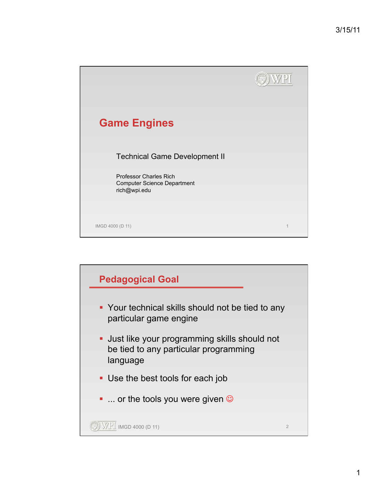

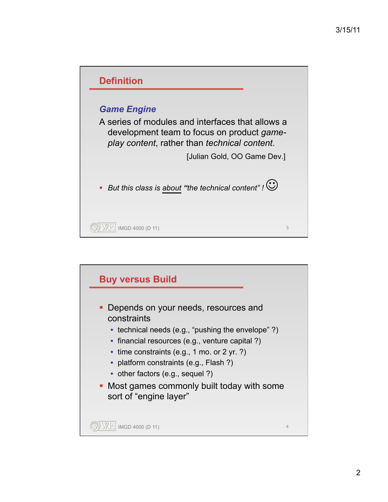

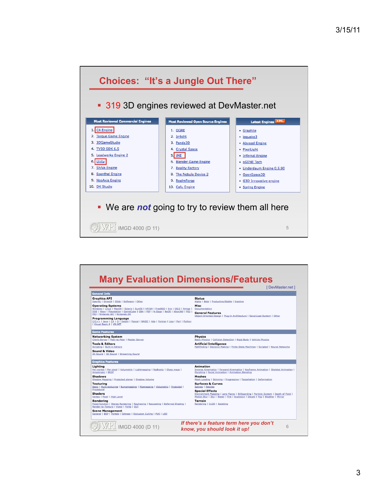

| <b>General Info</b>                                                                                                                                                                                                                                                                                                                                                                                                                                           | [ DevMaster.net ]                                                                                                                                                                                                                                                                                       |
|---------------------------------------------------------------------------------------------------------------------------------------------------------------------------------------------------------------------------------------------------------------------------------------------------------------------------------------------------------------------------------------------------------------------------------------------------------------|---------------------------------------------------------------------------------------------------------------------------------------------------------------------------------------------------------------------------------------------------------------------------------------------------------|
| <b>Graphics API</b><br>OpenGL   DirectX   Glide   Software   Other<br><b>Operating Systems</b><br>Windows   Linux   MacOS   Solaris   SunOS   HP/UX   FreeBSD   Irix   OS/2   Amiga  <br>DOS   Xbox   Playstation   GameCube   GBA   PSP   N-Gage   BeOS   Xbox360   PS2  <br>PS3   Nintendo Wii   Nintendo DS<br>Programming Language<br>C/C++   Java   C#   D   Delphi   Pascal   BASIC   Ada   Fortran   Lisp   Perl   Python<br>  Visual Basic 6   VB.NET | <b>Status</b><br>Alpha   Beta   Productive/Stable   Inactive<br>Misc<br>Documentation<br><b>General Features</b><br>Object-Oriented Design   Plug-in Architecture   Save/Load System   Other                                                                                                            |
| <b>Game Features</b>                                                                                                                                                                                                                                                                                                                                                                                                                                          |                                                                                                                                                                                                                                                                                                         |
| <b>Networking System</b><br>Client-Server   Peer-to-Peer   Master Server<br><b>Tools &amp; Editors</b><br><b>Scripting   Built-in Editors</b><br>Sound & Video<br>2D Sound   3D Sound   Streaming Sound                                                                                                                                                                                                                                                       | <b>Physics</b><br>Basic Physics   Collision Detection   Rigid Body   Vehicle Physics<br><b>Artificial Intelligence</b><br>Pathfinding   Decision Making   Finite State Machines   Scripted   Neural Networks                                                                                            |
| <b>Graphics Features</b>                                                                                                                                                                                                                                                                                                                                                                                                                                      |                                                                                                                                                                                                                                                                                                         |
| Liahtina<br>Per-vertex   Per-pixel   Volumetric   Lightmapping   Radiosity   Gloss maps  <br>Anisotropic   BRDF<br><b>Shadows</b><br>Shadow Mapping   Projected planar   Shadow Volume<br><b>Texturing</b><br>Basic   Multi-texturing   Bumpmapping   Mipmapping   Volumetric   Projected  <br>Procedural                                                                                                                                                     | <b>Animation</b><br>Inverse Kinematics   Forward Kinematics   Keyframe Animation   Skeletal Animation  <br>Morphing   Facial Animation   Animation Blending<br><b>Meshes</b><br>Mesh Loading   Skinning   Progressive   Tessellation   Deformation<br><b>Surfaces &amp; Curves</b><br>Splines   Patches |
| <b>Shaders</b><br>Vertex   Pixel   High Level                                                                                                                                                                                                                                                                                                                                                                                                                 | <b>Special Effects</b><br>Environment Mapping   Lens Flares   Billboarding   Particle System   Depth of Field  <br>Motion Blur   Sky   Water   Fire   Explosion   Decals   Fog   Weather   Mirror                                                                                                       |
| Rendering<br>Fixed-function   Stereo Rendering   Raytracing   Raycasting   Deferred Shading  <br>Render-to-Texture   Voxel   Fonts   GUI<br><b>Scene Management</b><br>General   BSP   Portals   Octrees   Occlusion Culling   PVS   LOD                                                                                                                                                                                                                      | <b>Terrain</b><br>Rendering   CLOD   Splatting                                                                                                                                                                                                                                                          |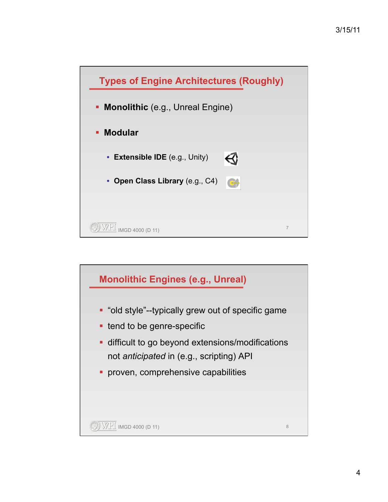

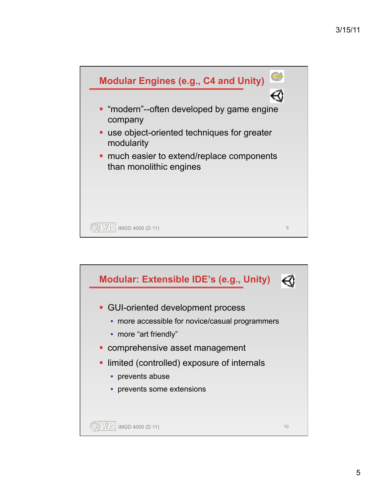

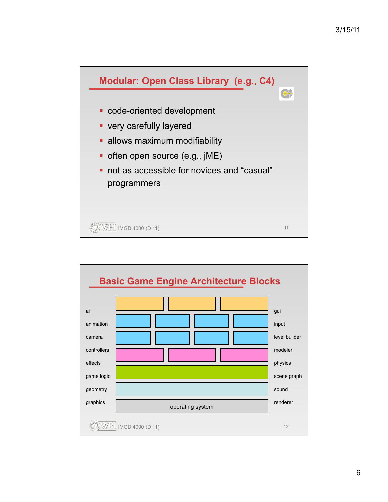

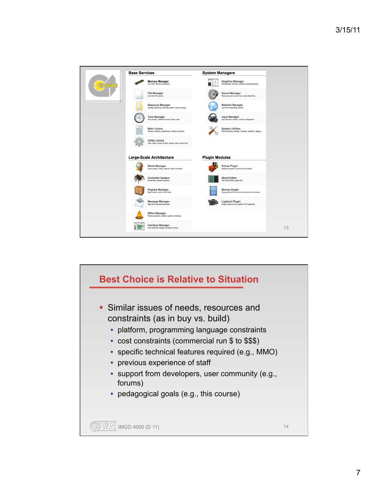

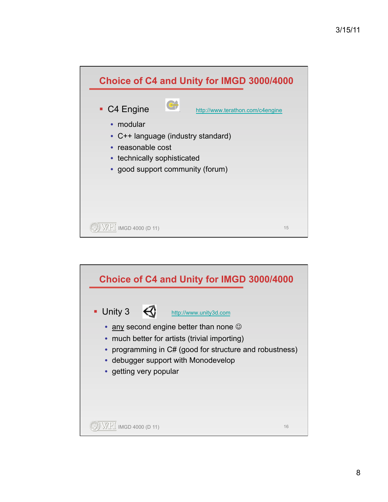

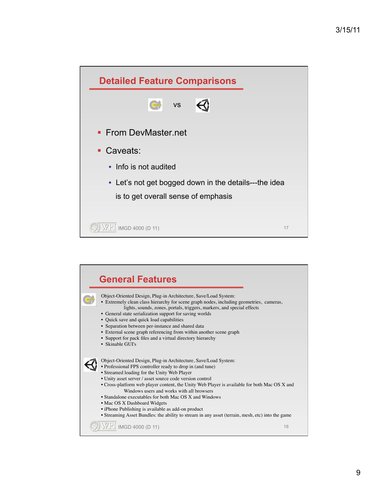| <b>Detailed Feature Comparisons</b>                   |    |
|-------------------------------------------------------|----|
| <b>VS</b>                                             |    |
| • From DevMaster.net                                  |    |
| • Caveats:                                            |    |
| • Info is not audited                                 |    |
| • Let's not get bogged down in the details---the idea |    |
| is to get overall sense of emphasis                   |    |
|                                                       |    |
| IMGD 4000 (D 11)                                      | 17 |

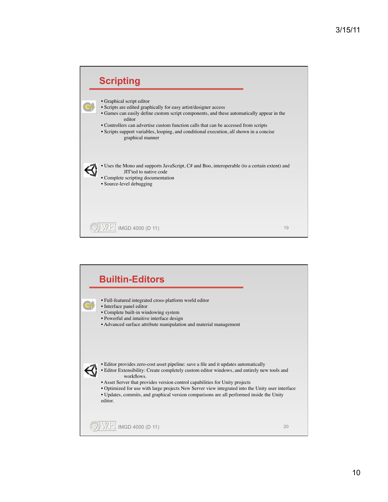

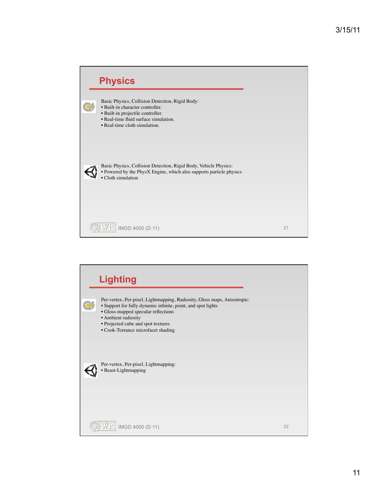

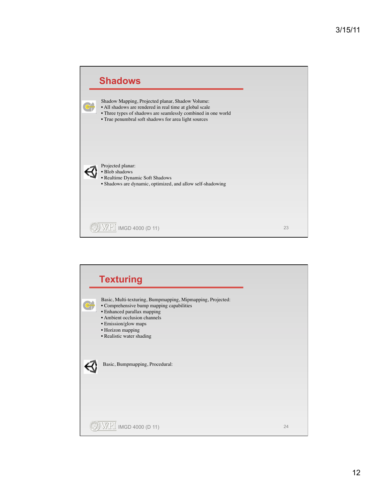

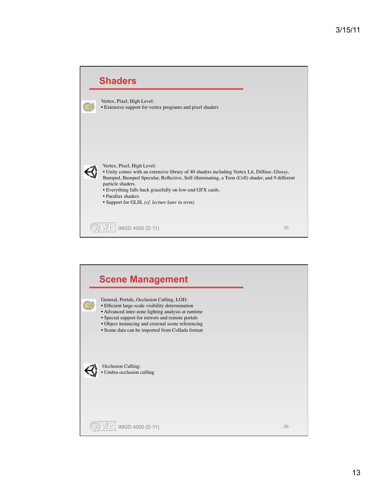

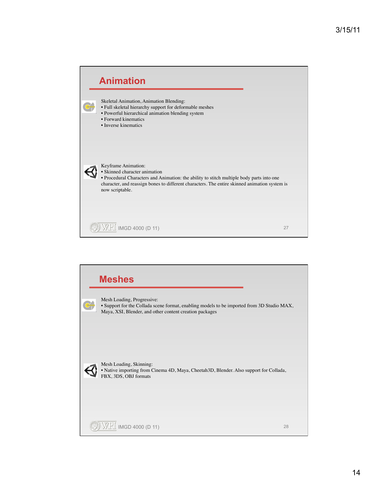

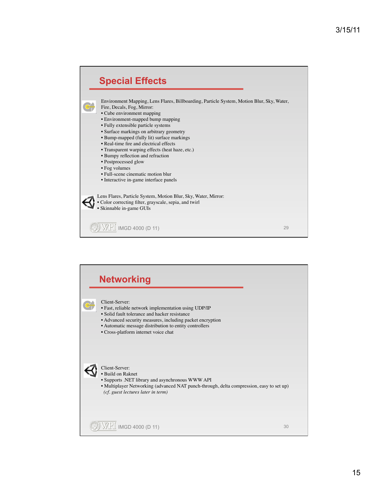

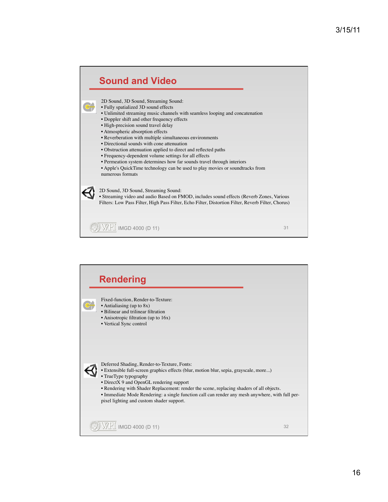